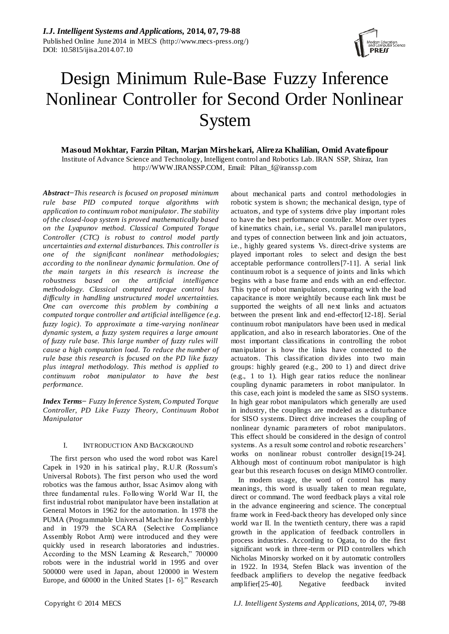

# Design Minimum Rule-Base Fuzzy Inference Nonlinear Controller for Second Order Nonlinear System

**Masoud Mokhtar, Farzin Piltan, Marjan Mirshekari, Alireza Khalilian, Omid Avatefipour** Institute of Advance Science and Technology, Intelligent control and Robotics Lab. IRAN SSP, Shiraz, Iran http://WWW.IRANSSP.COM, Email: [Piltan\\_f@iranssp.com](mailto:Piltan_f@iranssp.com)

*Abstract−This research is focused on proposed minimum rule base PID computed torque algorithms with application to continuum robot manipulator. The stability of the closed-loop system is proved mathematically based on the Lyapunov method. Classical Computed Torque Controller (CTC) is robust to control model partly uncertainties and external disturbances. This controller is one of the significant nonlinear methodologies; according to the nonlinear dynamic formulation. One of the main targets in this research is increase the robustness based on the artificial intelligence methodology. Classical computed torque control has difficulty in handling unstructured model uncertainties. One can overcome this problem by combining a computed torque controller and artificial intelligence (e.g. fuzzy logic). To approximate a time-varying nonlinear dynamic system, a fuzzy system requires a large amount of fuzzy rule base. This large number of fuzzy rules will cause a high computation load. To reduce the number of rule base this research is focused on the PD like fuzzy plus integral methodology. This method is applied to continuum robot manipulator to have the best performance.*

*Index Terms− Fuzzy Inference System, Computed Torque Controller, PD Like Fuzzy Theory, Continuum Robot Manipulator*

## I. INTRODUCTION AND BACKGROUND

The first person who used the word robot was Karel Capek in 1920 in his satirical play, R.U.R (Rossum"s Universal Robots). The first person who used the word robotics was the famous author, Issac Asimov along with three fundamental rules. Following World War ІІ, the first industrial robot manipulator have been installation at General Motors in 1962 for the automation. In 1978 the PUMA (Programmable Universal Machine for Assembly) and in 1979 the SCARA (Selective Compliance Assembly Robot Arm) were introduced and they were quickly used in research laboratories and industries. According to the MSN Learning & Research," 700000 robots were in the industrial world in 1995 and over 500000 were used in Japan, about 120000 in Western Europe, and 60000 in the United States [1- 6]." Research about mechanical parts and control methodologies in robotic system is shown; the mechanical design, type of actuators, and type of systems drive play important roles to have the best performance controller. More over types of kinematics chain, i.e., serial Vs. parallel manipulators, and types of connection between link and join actuators, i.e., highly geared systems Vs. direct-drive systems are played important roles to select and design the best acceptable performance controllers[7-11]. A serial link continuum robot is a sequence of joints and links which begins with a base frame and ends with an end-effector. This type of robot manipulators, comparing with the load capacitance is more weightily because each link must be supported the weights of all next links and actuators between the present link and end-effector[12-18]. Serial continuum robot manipulators have been used in medical application, and also in research laboratories. One of the most important classifications in controlling the robot manipulator is how the links have connected to the actuators. This classification divides into two main groups: highly geared (e.g., 200 to 1) and direct drive (e.g., 1 to 1). High gear ratios reduce the nonlinear coupling dynamic parameters in robot manipulator. In this case, each joint is modeled the same as SISO systems. In high gear robot manipulators which generally are used in industry, the couplings are modeled as a disturbance for SISO systems. Direct drive increases the coupling of nonlinear dynamic parameters of robot manipulators. This effect should be considered in the design of control systems. As a result some control and robotic researchers' works on nonlinear robust controller design[19-24]. Although most of continuum robot manipulator is high gear but this research focuses on design MIMO controller.

In modern usage, the word of control has many meanings, this word is usually taken to mean regulate, direct or command. The word feedback plays a vital role in the advance engineering and science. The conceptual frame work in Feed-back theory has developed only since world war ІІ. In the twentieth century, there was a rapid growth in the application of feedback controllers in process industries. According to Ogata, to do the first significant work in three -term or PID controllers which Nicholas Minorsky worked on it by automatic controllers in 1922. In 1934, Stefen Black was invention of the feedback amplifiers to develop the negative feedback amplifier[25-40]. Negative feedback invited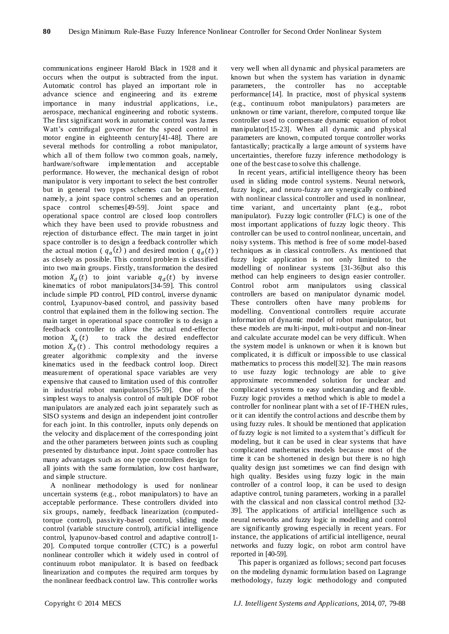communications engineer Harold Black in 1928 and it occurs when the output is subtracted from the input. Automatic control has played an important role in advance science and engineering and its extreme importance in many industrial applications, i.e., aerospace, mechanical engineering and robotic systems. The first significant work in automatic control was James Watt's centrifugal governor for the speed control in motor engine in eighteenth century[41-48]. There are several methods for controlling a robot manipulator, which all of them follow two common goals, namely, hardware/software implementation and acceptable performance. However, the mechanical design of robot manipulator is very important to select the best controller but in general two types schemes can be presented, namely, a joint space control schemes and an operation space control schemes[49-59]. Joint space and operational space control are closed loop controllers which they have been used to provide robustness and rejection of disturbance effect. The main target in joint space controller is to design a feedback controller which the actual motion ( $q_a(t)$ ) and desired motion ( $q_d(t)$ ) as closely as possible. This control problem is classified into two main groups. Firstly, transformation the desired motion  $X_d(t)$  to joint variable  $q_d(t)$  by inverse kinematics of robot manipulators[34-59]. This control include simple PD control, PID control, inverse dynamic control, Lyapunov-based control, and passivity based control that explained them in the following section. The main target in operational space controller is to design a feedback controller to allow the actual end-effector motion  $X_a(t)$ to track the desired endeffector motion  $X_d(t)$ . This control methodology requires a greater algorithmic complexity and the inverse kinematics used in the feedback control loop. Direct measurement of operational space variables are very expensive that caused to limitation used of this controller in industrial robot manipulators[55-59]. One of the simplest ways to analysis control of multiple DOF robot manipulators are analyzed each joint separately such as SISO systems and design an independent joint controller for each joint. In this controller, inputs only depends on the velocity and displacement of the corresponding joint and the other parameters between joints such as coupling presented by disturbance input. Joint space controller has many advantages such as one type controllers design for all joints with the same formulation, low cost hardware, and simple structure.

A nonlinear methodology is used for nonlinear uncertain systems (e.g., robot manipulators) to have an acceptable performance. These controllers divided into six groups, namely, feedback linearization (computedtorque control), passivity-based control, sliding mode control (variable structure control), artificial intelligence control, lyapunov-based control and adaptive control[1- 20]. Computed torque controller (CTC) is a powerful nonlinear controller which it widely used in control of continuum robot manipulator. It is based on feedback linearization and computes the required arm torques by the nonlinear feedback control law. This controller works

very well when all dynamic and physical parameters are known but when the system has variation in dynamic parameters, the controller has no acceptable performance[14]. In practice, most of physical systems (e.g., continuum robot manipulators) parameters are unknown or time variant, therefore, computed torque like controller used to compensate dynamic equation of robot manipulator[15-23]. When all dynamic and physical parameters are known, computed torque controller works fantastically; practically a large amount of systems have uncertainties, therefore fuzzy inference methodology is one of the best case to solve this challenge.

In recent years, artificial intelligence theory has been used in sliding mode control systems. Neural network, fuzzy logic, and neuro-fuzzy are synergically combined with nonlinear classical controller and used in nonlinear, time variant, and uncertainty plant (e.g., robot manipulator). Fuzzy logic controller (FLC) is one of the most important applications of fuzzy logic theory. This controller can be used to control nonlinear, uncertain, and noisy systems. This method is free of some model-based techniques as in classical controllers. As mentioned that fuzzy logic application is not only limited to the modelling of nonlinear systems [31-36]but also this method can help engineers to design easier controller. Control robot arm manipulators using classical controllers are based on manipulator dynamic model. These controllers often have many problems for modelling. Conventional controllers require accurate information of dynamic model of robot manipulator, but these models are multi-input, multi-output and non-linear and calculate accurate model can be very difficult. When the system model is unknown or when it is known but complicated, it is difficult or impossible to use classical mathematics to process this model[32]. The main reasons to use fuzzy logic technology are able to give approximate recommended solution for unclear and complicated systems to easy understanding and flexible. Fuzzy logic provides a method which is able to model a controller for nonlinear plant with a set of IF-THEN rules, or it can identify the control actions and describe them by using fuzzy rules. It should be mentioned that application of fuzzy logic is not limited to a system that"s difficult for modeling, but it can be used in clear systems that have complicated mathematics models because most of the time it can be shortened in design but there is no high quality design just sometimes we can find design with high quality. Besides using fuzzy logic in the main controller of a control loop, it can be used to design adaptive control, tuning parameters, working in a parallel with the classical and non classical control method [32- 39]. The applications of artificial intelligence such as neural networks and fuzzy logic in modelling and control are significantly growing especially in recent years. For instance, the applications of artificial intelligence, neural networks and fuzzy logic, on robot arm control have reported in [40-59].

This paper is organized as follows; second part focuses on the modeling dynamic formulation based on Lagrange methodology, fuzzy logic methodology and computed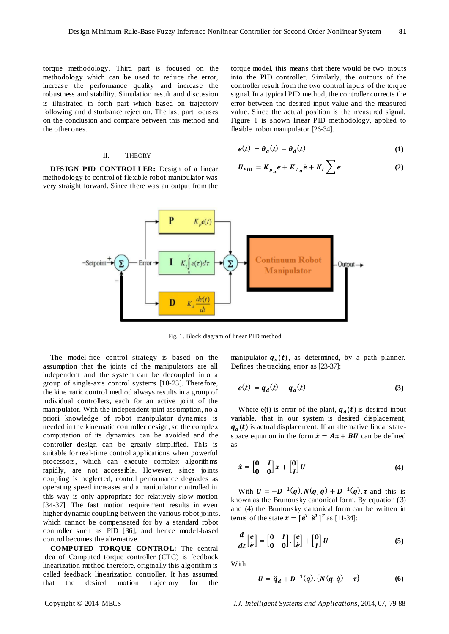torque methodology. Third part is focused on the methodology which can be used to reduce the error, increase the performance quality and increase the robustness and stability. Simulation result and discussion is illustrated in forth part which based on trajectory following and disturbance rejection. The last part focuses on the conclusion and compare between this method and the other ones.

### II. THEORY

**DES IGN PID CONTROLLER:** Design of a linear methodology to control of flexible robot manipulator was very straight forward. Since there was an output from the

torque model, this means that there would be two inputs into the PID controller. Similarly, the outputs of the controller result from the two control inputs of the torque signal. In a typical PID method, the controller corrects the error between the desired input value and the measured value. Since the actual position is the measured signal. Figure 1 is shown linear PID methodology, applied to flexible robot manipulator [26-34].

$$
e(t) = \theta_a(t) - \theta_d(t) \tag{1}
$$

$$
U_{PID} = K_{p_a} e + K_{V_a} \dot{e} + K_I \sum e \tag{2}
$$



Fig. 1. Block diagram of linear PID method

The model-free control strategy is based on the assumption that the joints of the manipulators are all independent and the system can be decoupled into a group of single-axis control systems [18-23]. Therefore, the kinematic control method always results in a group of individual controllers, each for an active joint of the manipulator. With the independent joint assumption, no a priori knowledge of robot manipulator dynamics is needed in the kinematic controller design, so the complex computation of its dynamics can be avoided and the controller design can be greatly simplified. This is suitable for real-time control applications when powerful processors, which can execute complex algorithms rapidly, are not accessible. However, since joints coupling is neglected, control performance degrades as operating speed increases and a manipulator controlled in this way is only appropriate for relatively slow motion [34-37]. The fast motion requirement results in even higher dynamic coupling between the various robot joints, which cannot be compensated for by a standard robot controller such as PID [36], and hence model-based control becomes the alternative.

**COMPUTED TORQUE CONTROL:** The central idea of Computed torque controller (CTC) is feedback linearization method therefore, originally this algorithm is called feedback linearization controller. It has assumed that the desired motion trajectory for the

manipulator  $q_d(t)$ , as determined, by a path planner. Defines the tracking error as [23-37]:

$$
e(t) = q_d(t) - q_a(t) \tag{3}
$$

Where e(t) is error of the plant,  $q_d(t)$  is desired input variable, that in our system is desired displacement,  $q_a(t)$  is actual displacement. If an alternative linear statespace equation in the form  $\dot{x} = Ax + BU$  can be defined as

$$
\dot{x} = \begin{bmatrix} 0 & I \\ 0 & 0 \end{bmatrix} x + \begin{bmatrix} 0 \\ I \end{bmatrix} U \tag{4}
$$

With  $U = -D^{-1}(q)$ .  $N(q, \dot{q}) + D^{-1}(q)$ .  $\tau$  and this is known as the Brunousky canonical form. By equation (3) and (4) the Brunousky canonical form can be written in terms of the state  $\mathbf{x} = [\mathbf{e}^T \ \dot{\mathbf{e}}^T]^T$  as [11-34]:

$$
\frac{d}{dt} \begin{bmatrix} e \\ e \end{bmatrix} = \begin{bmatrix} 0 & I \\ 0 & 0 \end{bmatrix} \cdot \begin{bmatrix} e \\ e \end{bmatrix} + \begin{bmatrix} 0 \\ I \end{bmatrix} U \tag{5}
$$

With

$$
U = \ddot{q}_d + D^{-1}(q) \cdot \{ N(q, \dot{q}) - \tau \} \tag{6}
$$

Copyright © 2014 MECS *I.J. Intelligent Systems and Applications,* 2014, 07, 79-88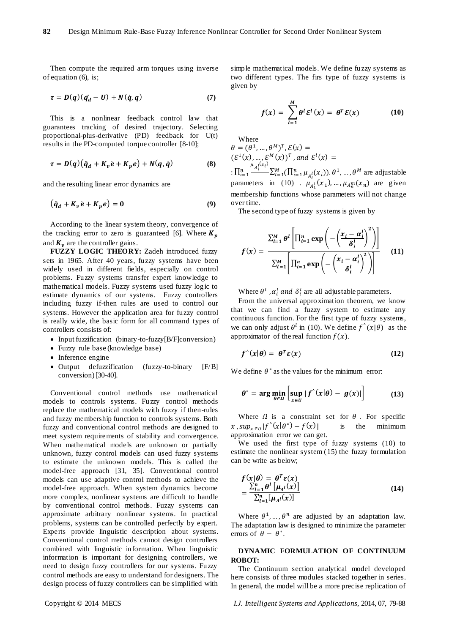Then compute the required arm torques using inverse of equation (6), is;

$$
\tau = D(q)(\dot{q}_d - U) + N(\dot{q}, q) \tag{7}
$$

This is a nonlinear feedback control law that guarantees tracking of desired trajectory. Selecting proportional-plus-derivative (PD) feedback for U(t) results in the PD-computed torque controller [8-10];

$$
\tau = D(q) \left( \ddot{q}_d + K_v \dot{e} + K_p e \right) + N(q, \dot{q}) \tag{8}
$$

and the resulting linear error dynamics are

$$
(\ddot{q}_d + K_v \dot{e} + K_p e) = 0 \tag{9}
$$

According to the linear system theory, convergence of the tracking error to zero is guaranteed [6]. Where  $K_n$ and  $K_v$  are the controller gains.

**FUZZY LOGIC THEORY:** Zadeh introduced fuzzy sets in 1965. After 40 years, fuzzy systems have been widely used in different fields, especially on control problems. Fuzzy systems transfer expert knowledge to mathematical models. Fuzzy systems used fuzzy logic to estimate dynamics of our systems. Fuzzy controllers including fuzzy if-then rules are used to control our systems. However the application area for fuzzy control is really wide, the basic form for all command types of controllers consists of:

- Input fuzzification (binary-to-fuzzy[B/F]conversion)
- Fuzzy rule base (knowledge base)
- Inference engine
- Output defuzzification (fuzzy-to-binary [F/B] conversion) [30-40].

Conventional control methods use mathematical models to controls systems. Fuzzy control methods replace the mathematical models with fuzzy if then-rules and fuzzy membership function to controls systems. Both fuzzy and conventional control methods are designed to meet system requirements of stability and convergence. When mathematical models are unknown or partially unknown, fuzzy control models can used fuzzy systems to estimate the unknown models. This is called the model-free approach [31, 35]. Conventional control models can use adaptive control methods to achieve the model-free approach. When system dynamics become more complex, nonlinear systems are difficult to handle by conventional control methods. Fuzzy systems can approximate arbitrary nonlinear systems. In practical problems, systems can be controlled perfectly by expert. Experts provide linguistic description about systems. Conventional control methods cannot design controllers combined with linguistic information. When linguistic information is important for designing controllers, we need to design fuzzy controllers for our systems. Fuzzy control methods are easy to understand for designers. The design process of fuzzy controllers can be simplified with

simple mathematical models. We define fuzzy systems as two different types. The firs type of fuzzy systems is given by

$$
f(x) = \sum_{l=1}^{M} \theta^l \mathcal{E}^l(x) = \theta^T \mathcal{E}(x)
$$
 (10)

Where

 $\theta = (\theta^1, ..., \theta^M)^T, \mathcal{E}(x) =$  $(\mathcal{E}^1(x), ..., \mathcal{E}^M(x))^T$ , and  $\mathcal{E}^l(x)$  =  $\prod_{i=1}^{n} \frac{\mu_{A_i^l}(x_i)}{x_i}$  $\sum_{i=1}^n \frac{A_i}{\sum_{i=1}^M (\prod_{i=1}^n \mu_{A_i^l}(x_i))}$ .  $\theta^1$ , ...,  $\theta^M$  are adjustable

parameters in (10).  $\mu_{A}^{\text{I}}(x_1), \ldots, \mu_{A}^{\text{m}}(x_n)$  are given membership functions whose parameters will not change over time.

The second type of fuzzy systems is given by

$$
f(x) = \frac{\sum_{l=1}^{M} \theta^l \left[ \prod_{i=1}^{n} \exp\left(-\left(\frac{x_i - \alpha_i^l}{\delta_i^l}\right)^2\right) \right]}{\sum_{l=1}^{M} \left[ \prod_{i=1}^{n} \exp\left(-\left(\frac{x_i - \alpha_i^l}{\delta_i^l}\right)^2\right) \right]}
$$
(11)

Where  $\theta^l$ ,  $\alpha_i^l$  and  $\delta_i^l$  are all adjustable parameters.

From the universal approximation theorem, we know that we can find a fuzzy system to estimate any continuous function. For the first type of fuzzy systems, we can only adjust  $\theta^l$  in (10). We define  $f^{\wedge}(x|\theta)$  as the approximator of the real function  $f(x)$ .

$$
f^{\wedge}(x|\theta) = \theta^T \varepsilon(x) \tag{12}
$$

We define  $\theta^*$  as the values for the minimum error:

$$
\theta^* = \arg\min_{\theta \in \Omega} \left[ \sup_{x \in U} |f^{\wedge}(x|\theta) - g(x)| \right] \tag{13}
$$

Where  $\Omega$  is a constraint set for  $\theta$ . For specific x,  $sup_{x \in U} |f'(x|\theta^*) - f(x)|$  is the minimum approximation error we can get.

We used the first type of fuzzy systems (10) to estimate the nonlinear system (15) the fuzzy formulation can be write as below;

$$
f(x|\theta) = \theta^T \varepsilon(x)
$$
  
= 
$$
\frac{\sum_{l=1}^n \theta^l \left[ \mu_{A^l}(x) \right]}{\sum_{l=1}^n \left[ \mu_{A^l}(x) \right]}
$$
 (14)

Where  $\theta^1, \dots, \theta^n$  are adjusted by an adaptation law. The adaptation law is designed to minimize the parameter errors of  $\theta - \theta^*$ .

## **DYNAMIC FORMULATION OF CONTINUUM ROBOT:**

The Continuum section analytical model developed here consists of three modules stacked together in series. In general, the model will be a more precise replication of

Copyright © 2014 MECS *I.J. Intelligent Systems and Applications,* 2014, 07, 79-88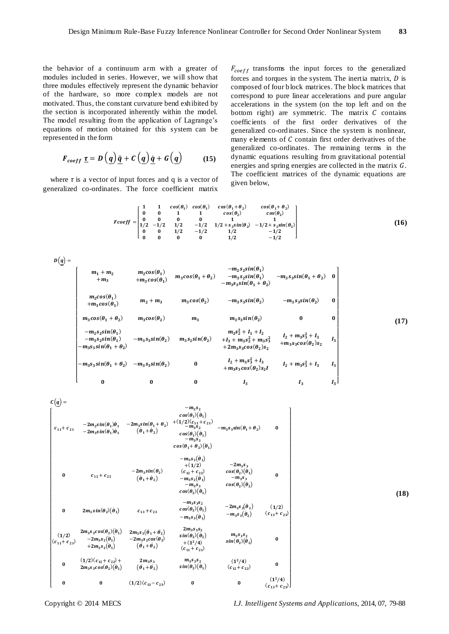the behavior of a continuum arm with a greater of modules included in series. However, we will show that three modules effectively represent the dynamic behavior of the hardware, so more complex models are not motivated. Thus, the constant curvature bend exhibited by the section is incorporated inherently within the model. The model resulting from the application of Lagrange's equations of motion obtained for this system can be represented in the form

$$
F_{coeff} \underline{\tau} = D\left(\underline{q}\right)\underline{\ddot{q}} + C\left(\underline{q}\right)\underline{\dot{q}} + G\left(\underline{q}\right) \tag{15}
$$

where  $\tau$  is a vector of input forces and q is a vector of generalized co-ordinates. The force coefficient matrix

 $F_{coeff}$  transforms the input forces to the generalized forces and torques in the system. The inertia matrix,  $D$  is composed of four block matrices. The block matrices that correspond to pure linear accelerations and pure angular accelerations in the system (on the top left and on the bottom right) are symmetric. The matrix  $C$  contains coefficients of the first order derivatives of the generalized co-ordinates. Since the system is nonlinear, many elements of  $C$  contain first order derivatives of the generalized co-ordinates. The remaining terms in the dynamic equations resulting from gravitational potential energies and spring energies are collected in the matrix  $G$ . The coefficient matrices of the dynamic equations are given below,

$$
F\text{coeff} = \begin{bmatrix} 1 & 1 & \cos(\theta_1) & \cos(\theta_1) & \cos(\theta_1 + \theta_2) & \cos(\theta_1 + \theta_2) \\ 0 & 0 & 1 & 1 & \cos(\theta_2) & \cos(\theta_2) \\ 0 & 0 & 0 & 0 & 1 \\ 1/2 & -1/2 & 1/2 & -1/2 & 1/2 + s_2 \sin(\theta_2) & -1/2 + s_2 \sin(\theta_2) \\ 0 & 0 & 1/2 & -1/2 & 1/2 & -1/2 \\ 0 & 0 & 0 & 0 & 1/2 & -1/2 \end{bmatrix} \tag{16}
$$

$$
D(q) =
$$

 $-m_2s_2sin(\theta_1)$  $m_1 + m_2$  $m_2cos(\theta_1)$ ļ I  $m_3cos(\theta_1+\theta_2)$  $-m_3s_2sin(\theta_1)$  $-m_3s_3sin(\theta_1+\theta_2)$  0 ļ  $+m<sub>3</sub>$ I  $+m_3cos(\theta_1)$  $-m_3s_3sin(\theta_1+\theta_2)$ ŀ I ļ I  $m_2cos(\theta_1)$ ļ I  $m_2 + m_3$   $m_3cos(\theta_2)$  $-m_3s_3sin(\theta_2)$  $-m_3s_3sin(\theta_2)$  $\bf{0}$ ŀ I  $+m_3cos(\theta_1)$ ļ I ļ I  $m_3cos(\theta_1+\theta_2)$  $m_3cos(\theta_2)$  $m_3$   $m_3 s_3 sin(\theta_2)$  $\Omega$ ) **(17)** ŀ I I I  $-m_2s_2sin(\theta_1)$  $m_2s_2^2$ I I  $I_2 + m_3 s_3^2$  $-m_3s_2sin(\theta_1)$  $-m_3s_3sin(\theta_2)$ )  $m_3 s_2 sin(\theta_2)$  $+I_3 + m_3s_2^2 + m_3s_3^2$ I  $I_3$  $+m_3s_3cos(\theta_2)s$ I I  $-m_3s_3sin(\theta_1+\theta_2)$ +2 $m_3s_3cos(\theta_2)s$ I I I I  $I_2 + m_3 s_3^2$ I  $-m_3s_3sin(\theta_1+\theta_2)$   $-m_3s_3sin(\theta)$  $\boldsymbol{0}$  $I_2 + m_3 s_3^2$ I  $I_3$  $+m_3s_3cos(\theta_2)s$ I I I I  $\overline{a}$  $\bf{0}$  $\bf{0}$  $\pmb{0}$  $I_3$  $I<sub>3</sub>$  $I_3$ 

$$
c(q) = \frac{-m_2 s_2}{\cos(\theta_1)(\theta_1)} \n c_{11} + c_{21} -2m_2 sin(\theta_1)\dot{\theta}_1 -2m_3 sin(\theta_1 + \theta_2) + (1/2)(c_{11} + c_{21}) -m_3 s_2 sin(\theta_1 + \theta_2) = 0 \n -m_3 s_3\n -m_3 s_3\n -m_3 s_3\n -m_3 s_3\n -m_3 s_3\n -m_3 s_3\n + (1/2) -2m_3 sin(\theta_1)\dot{\theta}_1 -2m_3 s_3\n -m_3 s_3\n -m_3 s_3\n -m_3 s_3\n -m_3 s_3\n -m_3 s_3\n -m_3 s_3\n -m_3 s_3\n -m_3 s_3\n -m_3 s_3\n -m_3 s_3\n -m_3 s_3\n -m_3 s_3\n -m_3 s_3\n -m_3 s_3\n -m_3 s_3\n -m_3 s_3\n -m_3 s_3\n -m_3 s_3\n -m_3 s_3\n -m_3 s_3\n -m_3 s_3\n -m_3 s_3\n -m_3 s_3\n -m_3 s_3\n -m_3 s_3\n -m_3 s_3\n -m_3 s_3\n -m_3 s_3\n -m_3 s_3\n -m_3 s_3\n -m_3 s_3\n -m_3 s_3\n -m_3 s_3\n -m_3 s_3\n -m_3 s_3\n -m_3 s_3\n -m_3 s_3\n -m_3 s_3\n -m_3 s_3\n -m_3 s_3\n -m_3 s_3\n -m_3 s_3\n -m_3 s_3\n -m_3 s_3\n -m_3 s_3\n -m_3 s_3\n -m_3 s_3\n -m_3 s_3\n -m_3 s_3\n -m_3 s_3\n -m_3 s_3\n -m_3 s_3\n -m_3 s_3\n -m_3 s_3\n -m_3 s_3\n -
$$

**(18)**

Copyright © 2014 MECS *I.J. Intelligent Systems and Applications,* 2014, 07, 79-88

I I I I I I I I I I I I I I I I I I I I I I I ł I ł I ł I I ł I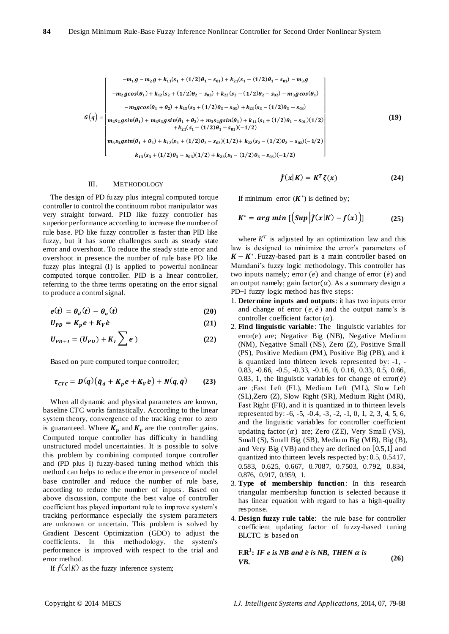$$
G(q) = \begin{bmatrix}\n-m_1g - m_2g + k_{11}(s_1 + (1/2)\theta_1 - s_{01}) + k_{21}(s_1 - (1/2)\theta_1 - s_{01}) - m_3g \\
-m_2g\cos(\theta_1) + k_{12}(s_2 + (1/2)\theta_2 - s_{02}) + k_{22}(s_2 - (1/2)\theta_2 - s_{02}) - m_3g\cos(\theta_1) \\
-m_3g\cos(\theta_1 + \theta_2) + k_{13}(s_3 + (1/2)\theta_3 - s_{03}) + k_{23}(s_3 - (1/2)\theta_3 - s_{03}) \\
m_2s_2g\sin(\theta_1) + m_3s_3g\sin(\theta_1 + \theta_2) + m_3s_2g\sin(\theta_1) + k_{11}(s_1 + (1/2)\theta_1 - s_{01})(1/2) \\
+ k_{21}(s_1 - (1/2)\theta_1 - s_{01})(-1/2)\n\end{bmatrix}
$$
\n(19)  
\n
$$
m_3s_3g\sin(\theta_1 + \theta_2) + k_{12}(s_2 + (1/2)\theta_2 - s_{02})(1/2) + k_{22}(s_2 - (1/2)\theta_2 - s_{02})(-1/2)
$$
\n
$$
k_{13}(s_3 + (1/2)\theta_3 - s_{03})(1/2) + k_{23}(s_3 - (1/2)\theta_3 - s_{03})(-1/2)
$$

#### III. METHODOLOGY

The design of PD fuzzy plus integral computed torque controller to control the continuum robot manipulator was very straight forward. PID like fuzzy controller has superior performance according to increase the number of rule base. PD like fuzzy controller is faster than PID like fuzzy, but it has some challenges such as steady state error and overshoot. To reduce the steady state error and overshoot in presence the number of rule base PD like fuzzy plus integral (I) is applied to powerful nonlinear computed torque controller. PID is a linear controller, referring to the three terms operating on the error signal to produce a control signal.

$$
e(t) = \theta_d(t) - \theta_a(t) \tag{20}
$$

$$
U_{PD} = K_p e + K_V \dot{e}
$$
 (21)

$$
U_{PD+I} = (U_{PD}) + K_I \sum e
$$
 (22)

Based on pure computed torque controller;

$$
\tau_{CTC} = D(q) \left( \ddot{q}_d + K_p e + K_V \dot{e} \right) + N(q, \dot{q}) \tag{23}
$$

When all dynamic and physical parameters are known, baseline CTC works fantastically. According to the linear system theory, convergence of the tracking error to zero is guaranteed. Where  $K_n$  and  $K_v$  are the controller gains. Computed torque controller has difficulty in handling unstructured model uncertainties. It is possible to solve this problem by combining computed torque controller and (PD plus I) fuzzy-based tuning method which this method can helps to reduce the error in presence of model base controller and reduce the number of rule base, according to reduce the number of inputs. Based on above discussion, compute the best value of controller coefficient has played important role to improve system"s tracking performance especially the system parameters are unknown or uncertain. This problem is solved by Gradient Descent Optimization (GDO) to adjust the coefficients. In this methodology, the system"s performance is improved with respect to the trial and error method.

If  $f(x|K)$  as the fuzzy inference system;

If minimum error  $(K^*)$  is defined by;

 $\hat{f}(x|K) = K^T \zeta(x)$  (24)

$$
K^* = arg min \left[ \left( Sup \left| \hat{f}(x|K) - f(x) \right) \right] \right]
$$
 (25)

where  $K^T$  is adjusted by an optimization law and this law is designed to minimize the error's parameters of  $K - K^*$ . Fuzzy-based part is a main controller based on Mamdani"s fuzzy logic methodology. This controller has two inputs namely; error  $(e)$  and change of error  $(e)$  and an output namely; gain factor( $\alpha$ ). As a summary design a PD+I fuzzy logic method has five steps:

- 1. **Determine inputs and outputs**: it has two inputs error and change of error  $(e, \dot{e})$  and the output name's is controller coefficient factor  $(\alpha)$ .
- 2. **Find linguistic variable** : The linguistic variables for error(e) are; Negative Big (NB), Negative Medium (NM), Negative Small (NS), Zero (Z), Positive Small (PS), Positive Medium (PM), Positive Big (PB), and it is quantized into thirteen levels represented by: -1, - 0.83, -0.66, -0.5, -0.33, -0.16, 0, 0.16, 0.33, 0.5, 0.66, 0.83, 1, the linguistic variables for change of  $error(e)$ are ;Fast Left (FL), Medium Left (ML), Slow Left (SL),Zero (Z), Slow Right (SR), Medium Right (MR), Fast Right (FR), and it is quantized in to thirteen levels represented by: -6, -5, -0.4, -3, -2, -1, 0, 1, 2, 3, 4, 5, 6, and the linguistic variables for controller coefficient updating factor  $(\alpha)$  are; Zero (ZE), Very Small (VS), Small (S), Small Big (SB), Medium Big (MB), Big (B), and Very Big (VB) and they are defined on  $[0.5, 1]$  and quantized into thirteen levels respected by: 0.5, 0.5417, 0.583, 0.625, 0.667, 0.7087, 0.7503, 0.792, 0.834, 0.876, 0.917, 0.959, 1.
- 3. **Type of membership function**: In this research triangular membership function is selected because it has linear equation with regard to has a high-quality response.
- 4. **Design fuzzy rule table**: the rule base for controller coefficient updating factor of fuzzy-based tuning BLCTC is based on

**F.R**<sup>1</sup>: *IF e is NB and è is NB, THEN*  $\alpha$  *is VB.*  $VB$ . (26)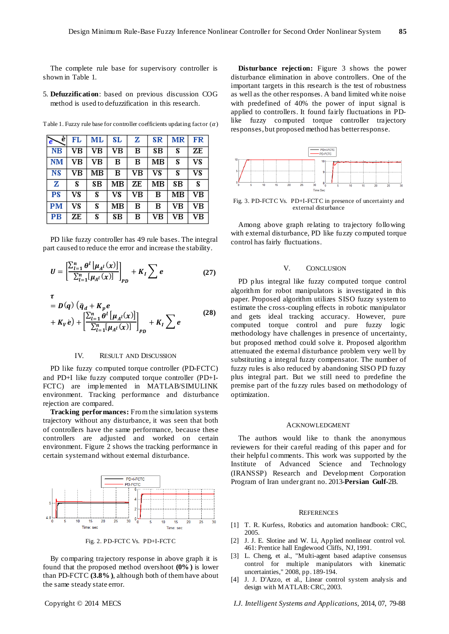The complete rule base for supervisory controller is shown in Table 1.

5. **Defuzzification**: based on previous discussion COG method is used to defuzzification in this research.

| ė<br>е         | FL | ML                        | SL                                | z  | SR | MR                     | FR                   |
|----------------|----|---------------------------|-----------------------------------|----|----|------------------------|----------------------|
| $_{\rm NB}$    | VВ | VВ                        | $_{\rm VB}$                       | в  | SΒ | S                      | ZE                   |
| NM             | VВ | VВ                        | в                                 | в  | MВ | S                      | VS                   |
| NS             | VВ | MВ                        | в                                 | VВ | VS | S                      | VS                   |
| z              | S  | $\mathbf{S}$ $\mathbf{B}$ | мв                                | ZE | MВ | SВ                     | S                    |
| PS             | VS | S                         | $\overline{\mathbf{v}}\mathbf{s}$ | VВ | B  | $\overline{\text{MB}}$ | VВ                   |
| PM             | VS | S                         | мв                                | в  | B  | VB                     | VВ                   |
| P <sub>B</sub> | ZΕ | S                         | SВ                                | в  | vв | $\overline{\text{VB}}$ | $\overline{\rm v}$ B |

Table 1. Fuzzy rule base for controller coefficients updating factor  $(\alpha)$ 

PD like fuzzy controller has 49 rule bases. The integral part caused to reduce the error and increase the stability.

$$
U = \left[\frac{\sum_{l=1}^{n} \theta^{l} \left[\mu_{A^{l}}(x)\right]}{\sum_{l=1}^{n} \left[\mu_{A^{l}}(x)\right]}\right]_{PD} + K_{I} \sum e \tag{27}
$$

 $\tau$  $= D(q)$   $(\ddot{q}_d$  $+ K_V \dot{e}$ ) + |  $\sum_{l=1}^n \theta^l \left[ \mu_{A^l}(x) \right]$  $\sum_{l=1}^n[\mu_{A^l}(x)]$  $\mathbf{+}$ P  $+ K_I$  > e **(28)**

## IV. RESULT AND DISCUSSION

PD like fuzzy computed torque controller (PD-FCTC) and PD+I like fuzzy computed torque controller (PD+I-FCTC) are implemented in MATLAB/SIMULINK environment. Tracking performance and disturbance rejection are compared.

**Tracking performances:** From the simulation systems trajectory without any disturbance, it was seen that both of controllers have the same performance, because these controllers are adjusted and worked on certain environment. Figure 2 shows the tracking performance in certain system and without external disturbance.



Fig. 2. PD-FCTC Vs. PD+I-FCTC

By comparing trajectory response in above graph it is found that the proposed method overshoot **(0% )** is lower than PD-FCTC **(3.8% )**, although both of them have about the same steady state error.

**Disturbance rejection:** Figure 3 shows the power disturbance elimination in above controllers. One of the important targets in this research is the test of robustness as well as the other responses. A band limited white noise with predefined of 40% the power of input signal is applied to controllers. It found fairly fluctuations in PDlike fuzzy computed torque controller trajectory responses, but proposed method has better response.



Fig. 3. PD-FCTC Vs. PD+I-FCTC in presence of uncertainty and external disturbance

Among above graph relating to trajectory following with external disturbance, PD like fuzzy computed torque control has fairly fluctuations.

#### V. CONCLUSION

PD plus integral like fuzzy computed torque control algorithm for robot manipulators is investigated in this paper. Proposed algorithm utilizes SISO fuzzy system to estimate the cross-coupling effects in robotic manipulator and gets ideal tracking accuracy. However, pure computed torque control and pure fuzzy logic methodology have challenges in presence of uncertainty, but proposed method could solve it. Proposed algorithm attenuated the external disturbance problem very well by substituting a integral fuzzy compensator. The number of fuzzy rules is also reduced by abandoning SISO PD fuzzy plus integral part. But we still need to predefine the premise part of the fuzzy rules based on methodology of optimization.

#### ACKNOWLEDGMENT

The authors would like to thank the anonymous reviewers for their careful reading of this paper and for their helpful comments. This work was supported by the Institute of Advanced Science and Technology (IRANSSP) Research and Development Corporation Program of Iran under grant no. 2013-**Persian Gulf**-2B.

#### **REFERENCES**

- [1] T. R. Kurfess, Robotics and automation handbook: CRC, 2005.
- [2] J. J. E. Slotine and W. Li, Applied nonlinear control vol. 461: Prentice hall Englewood Cliffs, NJ, 1991.
- [3] L. Cheng, et al., "Multi-agent based adaptive consensus control for multiple manipulators with kinematic uncertainties," 2008, pp. 189-194.
- [4] J. J. D'Azzo, et al., Linear control system analysis and design with MATLAB: CRC, 2003.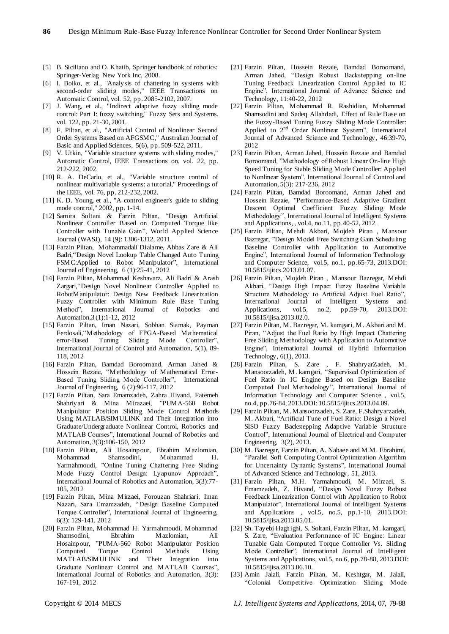- [5] B. Siciliano and O. Khatib, Springer handbook of robotics: Springer-Verlag New York Inc, 2008.
- [6] I. Boiko, et al., "Analysis of chattering in systems with second-order sliding modes," IEEE Transactions on Automatic Control, vol. 52, pp. 2085-2102, 2007.
- [7] J. Wang, et al., "Indirect adaptive fuzzy sliding mode control: Part I: fuzzy switching," Fuzzy Sets and Systems, vol. 122, pp. 21-30, 2001.
- [8] F. Piltan, et al., "Artificial Control of Nonlinear Second Order Systems Based on AFGSMC," Australian Journal of Basic and Applied Sciences, 5(6), pp. 509-522, 2011.
- [9] V. Utkin, "Variable structure systems with sliding modes," Automatic Control, IEEE Transactions on, vol. 22, pp. 212-222, 2002.
- [10] R. A. DeCarlo, et al., "Variable structure control of nonlinear multivariable systems: a tutorial," Proceedings of the IEEE, vol. 76, pp. 212-232, 2002.
- [11] K. D. Young, et al., "A control engineer's guide to sliding mode control," 2002, pp. 1-14.
- [12] Samira Soltani & Farzin Piltan, "Design Artificial Nonlinear Controller Based on Computed Torque like Controller with Tunable Gain", World Applied Science Journal (WASJ), 14 (9): 1306-1312, 2011.
- [13] Farzin Piltan, Mohammadali Dialame, Abbas Zare & Ali Badri,"Design Novel Lookup Table Changed Auto Tuning FSMC:Applied to Robot Manipulator", International Journal of Engineering, 6 (1):25-41, 2012
- [14] Farzin Piltan, Mohammad Keshavarz, Ali Badri & Arash Zargari,"Design Novel Nonlinear Controller Applied to RobotManipulator: Design New Feedback Linearization Fuzzy Controller with Minimum Rule Base Tuning Method", International Journal of Robotics and Automation,3 (1):1-12, 2012
- [15] Farzin Piltan, Iman Nazari, Sobhan Siamak, Payman Ferdosali,"Methodology of FPGA-Based Mathematical error-Based Tuning Sliding Mode Controller", International Journal of Control and Automation, 5(1), 89- 118, 2012
- [16] Farzin Piltan, Bamdad Boroomand, Arman Jahed & Hossein Rezaie, "Methodology of Mathematical Error-Based Tuning Sliding Mode Controller", International Journal of Engineering, 6 (2):96-117, 2012
- [17] Farzin Piltan, Sara Emamzadeh, Zahra Hivand, Fatemeh Shahriyari & Mina Mirazaei, "PUMA-560 Robot Manipulator Position Sliding Mode Control Methods Using MATLAB/SIMULINK and Their Integration into Graduate/Undergraduate Nonlinear Control, Robotics and MATLAB Courses", International Journal of Robotics and Automation, 3(3):106-150, 2012
- [18] Farzin Piltan, Ali Hosainpour, Ebrahim Mazlomian, Mohammad Shamsodini, Mohammad H. Yarmahmoudi, "Online Tuning Chattering Free Sliding Mode Fuzzy Control Design: Lyapunov Approach", International Journal of Robotics and Automation, 3(3):77- 105, 2012
- [19] Farzin Piltan, Mina Mirzaei, Forouzan Shahriari, Iman Nazari, Sara Emamzadeh, "Design Baseline Computed Torque Controller", International Journal of Engineering, 6(3): 129-141, 2012
- [20] Farzin Piltan, Mohammad H. Yarmahmoudi, Mohammad Shamsodini, Ebrahim Mazlomian, Ali Hosainpour, "PUMA-560 Robot Manipulator Position Computed Torque Control Methods Using MATLAB/SIMULINK and Their Integration into Graduate Nonlinear Control and MATLAB Courses", International Journal of Robotics and Automation, 3(3): 167-191, 2012
- [21] Farzin Piltan, Hossein Rezaie, Bamdad Boroomand, Arman Jahed, "Design Robust Backstepping on-line Tuning Feedback Linearization Control Applied to IC Engine", International Journal of Advance Science and Technology, 11:40-22, 2012
- [22] Farzin Piltan, Mohammad R. Rashidian, Mohammad Shamsodini and Sadeq Allahdadi, Effect of Rule Base on the Fuzzy-Based Tuning Fuzzy Sliding Mode Controller: Applied to 2nd Order Nonlinear System", International Journal of Advanced Science and Technology, 46:39-70, 2012
- [23] Farzin Piltan, Arman Jahed, Hossein Rezaie and Bamdad Boroomand, "Methodology of Robust Linear On-line High Speed Tuning for Stable Sliding Mode Controller: Applied to Nonlinear System", International Journal of Control and Automation, 5(3): 217-236, 2012
- [24] Farzin Piltan, Bamdad Boroomand, Arman Jahed and Hossein Rezaie, "Performance-Based Adaptive Gradient Descent Optimal Coefficient Fuzzy Sliding Mode Methodology", International Journal of Intelligent Systems and Applications, , vol.4, no.11, pp.40-52, 2012.
- [25] Farzin Piltan, Mehdi Akbari, Mojdeh Piran , Mansour Bazregar, "Design Model Free Switching Gain Scheduling Baseline Controller with Application to Automotive Engine", International Journal of Information Technology and Computer Science, vol.5, no.1, pp.65-73, 2013.DOI: 10.5815/ijitcs.2013.01.07.
- [26] Farzin Piltan, Mojdeh Piran , Mansour Bazregar, Mehdi Akbari, "Design High Impact Fuzzy Baseline Variable Structure Methodology to Artificial Adjust Fuel Ratio", International Journal of Intelligent Systems and Applications, vol.5, no.2, pp.59-70, 2013.DOI: 10.5815/ijisa.2013.02.0.
- [27] Farzin Piltan, M. Bazregar, M. kamgari, M. Akbari and M. Piran, "Adjust the Fuel Ratio by High Impact Chattering Free Sliding Methodology with Application to Automotive Engine", International Journal of Hybrid Information Technology, 6(1), 2013.
- [28] Farzin Piltan, S. Zare , F. ShahryarZadeh, M. Mansoorzadeh, M. kamgari, "Supervised Optimization of Fuel Ratio in IC Engine Based on Design Baseline Computed Fuel Methodology", International Journal of Information Technology and Computer Science , vol.5, no.4, pp.76-84, 2013.DOI: 10.5815/ijitcs.2013.04.09.
- [29] Farzin Piltan, M. Mansoorzadeh, S. Zare, F.Shahryarzadeh, M. Akbari, "Artificial Tune of Fuel Ratio: Design a Novel SISO Fuzzy Backstepping Adaptive Variable Structure Control", International Journal of Electrical and Computer Engineering, 3(2), 2013.
- [30] M. Bazregar, Farzin Piltan, A. Nabaee and M.M. Ebrahimi, "Parallel Soft Computing Control Optimization Algorithm for Uncertainty Dynamic Systems", International Journal of Advanced Science and Technology, 51, 2013.
- [31] Farzin Piltan, M.H. Yarmahmoudi, M. Mirzaei, S. Emamzadeh, Z. Hivand, "Design Novel Fuzzy Robust Feedback Linearization Control with Application to Robot Manipulator", International Journal of Intelligent Systems and Applications , vol.5, no.5, pp.1-10, 2013.DOI: 10.5815/ijisa.2013.05.01.
- [32] Sh. Tayebi Haghighi, S. Soltani, Farzin Piltan, M. kamgari, S. Zare, "Evaluation Performance of IC Engine: Linear Tunable Gain Computed Torque Controller Vs. Sliding Mode Controller", International Journal of Intelligent Systems and Applications, vol.5, no.6, pp.78-88, 2013.DOI: 10.5815/ijisa.2013.06.10.
- [33] Amin Jalali, Farzin Piltan, M. Keshtgar, M. Jalali, "Colonial Competitive Optimization Sliding Mode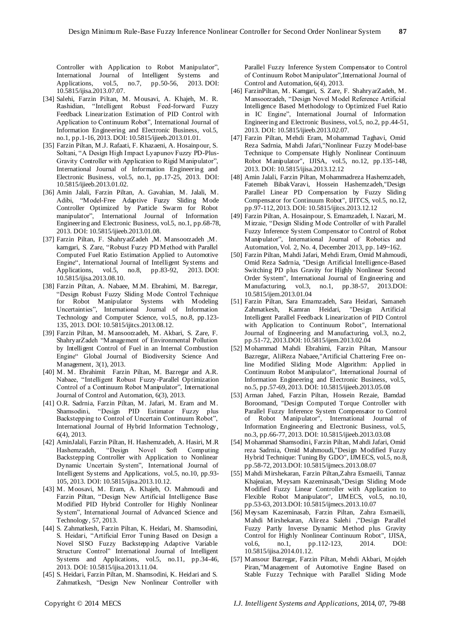Controller with Application to Robot Manipulator", International Journal of Intelligent Systems and Applications, vol.5, no.7, pp.50-56, 2013. DOI: 10.5815/ijisa.2013.07.07.

- [34] Salehi, Farzin Piltan, M. Mousavi, A. Khajeh, M. R. Rashidian, "Intelligent Robust Feed-forward Fuzzy Feedback Linearization Estimation of PID Control with Application to Continuum Robot", International Journal of Information Engineering and Electronic Business, vol.5, no.1, pp.1-16, 2013. DOI: 10.5815/ijieeb.2013.01.01.
- [35] Farzin Piltan, M.J. Rafaati, F. Khazaeni, A. Hosainpour, S. Soltani, "A Design High Impact Lyapunov Fuzzy PD-Plus-Gravity Controller with Application to Rigid Manipulator", International Journal of Information Engineering and Electronic Business, vol.5, no.1, pp.17-25, 2013. DOI: 10.5815/ijieeb.2013.01.02.
- [36] Amin Jalali, Farzin Piltan, A. Gavahian, M. Jalali, M. Adibi, "Model-Free Adaptive Fuzzy Sliding Mode Controller Optimized by Particle Swarm for Robot manipulator", International Journal of Information Engineering and Electronic Business, vol.5, no.1, pp.68-78, 2013. DOI: 10.5815/ijieeb.2013.01.08.
- [37] Farzin Piltan, F. ShahryarZadeh ,M. Mansoorzadeh ,M. kamgari, S. Zare, "Robust Fuzzy PD Method with Parallel Computed Fuel Ratio Estimation Applied to Automotive Engine", International Journal of Intelligent Systems and Applications, vol.5, no.8, pp.83-92, 2013. DOI: 10.5815/ijisa.2013.08.10.
- [38] Farzin Piltan, A. Nabaee, M.M. Ebrahimi, M. Bazregar, "Design Robust Fuzzy Sliding Mode Control Technique for Robot Manipulator Systems with Modeling Uncertainties", International Journal of Information Technology and Computer Science, vol.5, no.8, pp.123- 135, 2013. DOI: 10.5815/ijitcs.2013.08.12.
- [39] Farzin Piltan, M. Mansoorzadeh, M. Akbari, S. Zare, F. ShahryarZadeh "Management of Environmental Pollution by Intelligent Control of Fuel in an Internal Combustion Engine" Global Journal of Biodiversity Science And Management, 3(1), 2013.
- [40] M. M. Ebrahimit Farzin Piltan, M. Bazregar and A.R. Nabaee, "Intelligent Robust Fuzzy-Parallel Optimization Control of a Continuum Robot Manipulator", International Journal of Control and Automation, 6(3), 2013.
- [41] O.R. Sadrnia, Farzin Piltan, M. Jafari, M. Eram and M. Shamsodini, "Design PID Estimator Fuzzy plus Backstepping to Control of Uncertain Continuum Robot", International Journal of Hybrid Information Technology, 6(4), 2013.
- [42] AminJalali, Farzin Piltan, H. Hashemzadeh, A. Hasiri, M.R Hashemzadeh, "Design Novel Soft Computing Backstepping Controller with Application to Nonlinear Dynamic Uncertain System", International Journal of Intelligent Systems and Applications, vol.5, no.10, pp.93- 105, 2013. DOI: 10.5815/ijisa.2013.10.12.
- [43] M. Moosavi, M. Eram, A. Khajeh, O. Mahmoudi and Farzin Piltan, "Design New Artificial Intelligence Base Modified PID Hybrid Controller for Highly Nonlinear System", International Journal of Advanced Science and Technology, 57, 2013.
- [44] S. Zahmatkesh, Farzin Piltan, K. Heidari, M. Shamsodini, S. Heidari, "Artificial Error Tuning Based on Design a Novel SISO Fuzzy Backstepping Adaptive Variable Structure Control" International Journal of Intelligent Systems and Applications, vol.5, no.11, pp.34-46, 2013. DOI: 10.5815/ijisa.2013.11.04.
- [45] S. Heidari, Farzin Piltan, M. Shamsodini, K. Heidari and S. Zahmatkesh, "Design New Nonlinear Controller with

Parallel Fuzzy Inference System Compensator to Control of Continuum Robot Manipulator",International Journal of Control and Automation, 6(4), 2013.

- [46] FarzinPiltan, M. Kamgari, S. Zare, F. ShahryarZadeh, M. Mansoorzadeh, "Design Novel Model Reference Artificial Intelligence Based Methodology to Optimized Fuel Ratio in IC Engine", International Journal of Information Engineering and Electronic Business, vol.5, no.2, pp.44-51, 2013. DOI: 10.5815/ijieeb.2013.02.07.
- [47] Farzin Piltan, Mehdi Eram, Mohammad Taghavi, Omid Reza Sadrnia, Mahdi Jafari,"Nonlinear Fuzzy Model-base Technique to Compensate Highly Nonlinear Continuum Robot Manipulator", IJISA, vol.5, no.12, pp.135-148, 2013. DOI: 10.5815/ijisa.2013.12.12
- [48] Amin Jalali, Farzin Piltan, Mohammadreza Hashemzadeh, Fatemeh BibakVaravi, Hossein Hashemzadeh,"Design Parallel Linear PD Compensation by Fuzzy Sliding Compensator for Continuum Robot", IJITCS, vol.5, no.12, pp.97-112, 2013. DOI: 10.5815/ijitcs.2013.12.12
- [49] Farzin Piltan, A. Hosainpour, S. Emamzadeh, I. Nazari, M. Mirzaie, "Design Sliding Mode Controller of with Parallel Fuzzy Inference System Compensator to Control of Robot Manipulator", International Journal of Robotics and Automation, Vol. 2, No. 4, December 2013, pp. 149~162.
- [50] Farzin Piltan, Mahdi Jafari, Mehdi Eram, Omid Mahmoudi, Omid Reza Sadrnia, "Design Artificial Intelligence-Based Switching PD plus Gravity for Highly Nonlinear Second Order System", International Journal of Engineering and Manufacturing, vol.3, no.1, pp.38-57, 2013.DOI: 10.5815/ijem.2013.01.04
- [51] Farzin Piltan, Sara Emamzadeh, Sara Heidari, Samaneh Zahmatkesh, Kamran Heidari, "Design Artificial Intelligent Parallel Feedback Linearization of PID Control with Application to Continuum Robot", International Journal of Engineering and Manufacturing, vol.3, no.2, pp.51-72, 2013.DOI: 10.5815/ijem.2013.02.04
- [52] Mohammad Mahdi Ebrahimi, Farzin Piltan, Mansour Bazregar, AliReza Nabaee,"Artificial Chattering Free online Modified Sliding Mode Algorithm: Applied in Continuum Robot Manipulator", International Journal of Information Engineering and Electronic Business, vol.5, no.5, pp.57-69, 2013. DOI: 10.5815/ijieeb.2013.05.08
- [53] Arman Jahed, Farzin Piltan, Hossein Rezaie, Bamdad Boroomand, "Design Computed Torque Controller with Parallel Fuzzy Inference System Compensator to Control of Robot Manipulator", International Journal of Information Engineering and Electronic Business, vol.5, no.3, pp.66-77, 2013. DOI: 10.5815/ijieeb.2013.03.08
- [54] Mohammad Shamsodini, Farzin Piltan, Mahdi Jafari, Omid reza Sadrnia, Omid Mahmoudi,"Design Modified Fuzzy Hybrid Technique: Tuning By GDO", IJMECS, vol.5, no.8, pp.58-72, 2013.DOI: 10.5815/ijmecs.2013.08.07
- [55] Mahdi Mirshekaran, Farzin Piltan,Zahra Esmaeili, Tannaz Khajeaian, Meysam Kazeminasab,"Design Sliding Mode Modified Fuzzy Linear Controller with Application to Flexible Robot Manipulator", IJMECS, vol.5, no.10, pp.53-63, 2013.DOI: 10.5815/ijmecs.2013.10.07
- [56] Meysam Kazeminasab, Farzin Piltan, Zahra Esmaeili, Mahdi Mirshekaran, Alireza Salehi ,"Design Parallel Fuzzy Partly Inverse Dynamic Method plus Gravity Control for Highly Nonlinear Continuum Robot", IJISA, vol.6, no.1, pp.112-123, 2014. DOI: 10.5815/ijisa.2014.01.12.
- [57] Mansour Bazregar, Farzin Piltan, Mehdi Akbari, Mojdeh Piran,"Management of Automotive Engine Based on Stable Fuzzy Technique with Parallel Sliding Mode